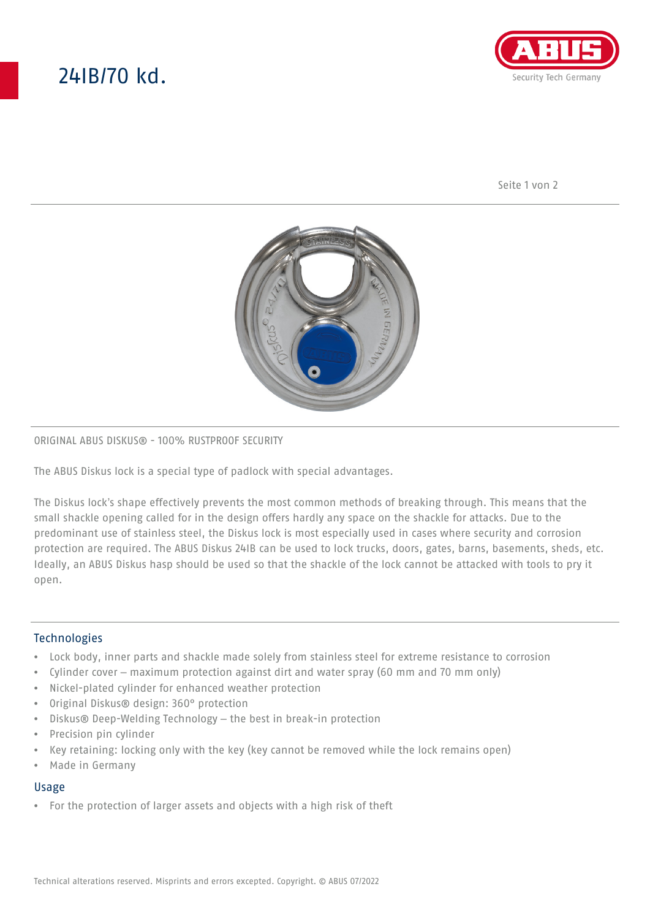# 24IB/70 kd.



Seite 1 von 2



## ORIGINAL ABUS DISKUS® - 100% RUSTPROOF SECURITY

The ABUS Diskus lock is a special type of padlock with special advantages.

The Diskus lock's shape effectively prevents the most common methods of breaking through. This means that the small shackle opening called for in the design offers hardly any space on the shackle for attacks. Due to the predominant use of stainless steel, the Diskus lock is most especially used in cases where security and corrosion protection are required. The ABUS Diskus 24IB can be used to lock trucks, doors, gates, barns, basements, sheds, etc. Ideally, an ABUS Diskus hasp should be used so that the shackle of the lock cannot be attacked with tools to pry it open.

## **Technologies**

- Lock body, inner parts and shackle made solely from stainless steel for extreme resistance to corrosion
- Cylinder cover maximum protection against dirt and water spray (60 mm and 70 mm only)
- Nickel-plated cylinder for enhanced weather protection
- Original Diskus® design: 360° protection
- Diskus® Deep-Welding Technology the best in break-in protection
- Precision pin cylinder
- Key retaining: locking only with the key (key cannot be removed while the lock remains open)
- Made in Germany

### Usage

• For the protection of larger assets and objects with a high risk of theft